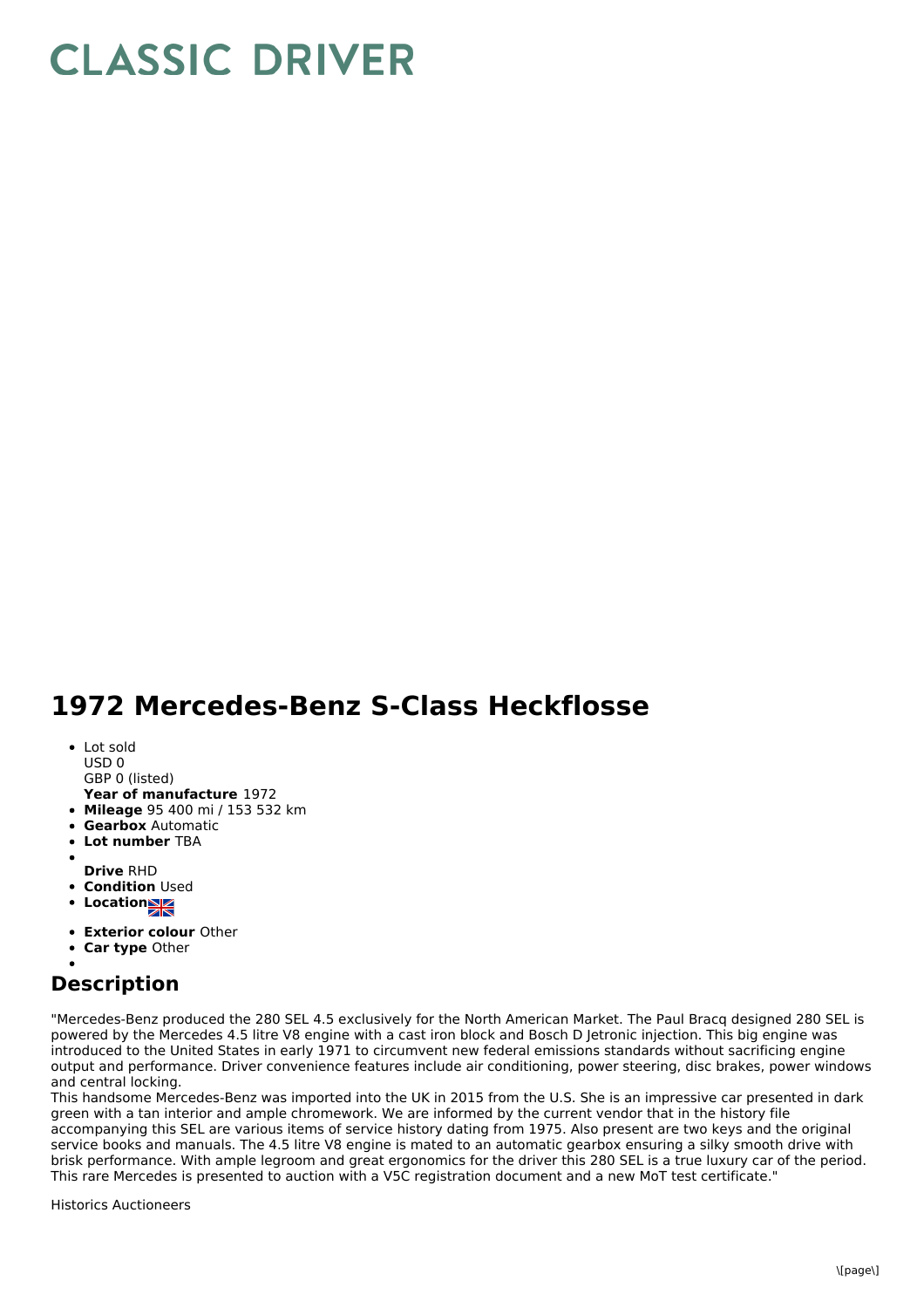## **CLASSIC DRIVER**

## **1972 Mercedes-Benz S-Class Heckflosse**

- Lot sold
- USD 0
- GBP 0 (listed)
- **Year of manufacture** 1972
- **Mileage** 95 400 mi / 153 532 km
- **Gearbox** Automatic
- **Lot number** TBA
- **Drive** RHD
- **Condition Used**
- **Locations**
- 
- **Exterior colour** Other
- **Car type** Other

## **Description**

"Mercedes-Benz produced the 280 SEL 4.5 exclusively for the North American Market. The Paul Bracq designed 280 SEL is powered by the Mercedes 4.5 litre V8 engine with a cast iron block and Bosch D Jetronic injection. This big engine was introduced to the United States in early 1971 to circumvent new federal emissions standards without sacrificing engine output and performance. Driver convenience features include air conditioning, power steering, disc brakes, power windows and central locking.

This handsome Mercedes-Benz was imported into the UK in 2015 from the U.S. She is an impressive car presented in dark green with a tan interior and ample chromework. We are informed by the current vendor that in the history file accompanying this SEL are various items of service history dating from 1975. Also present are two keys and the original service books and manuals. The 4.5 litre V8 engine is mated to an automatic gearbox ensuring a silky smooth drive with brisk performance. With ample legroom and great ergonomics for the driver this 280 SEL is a true luxury car of the period. This rare Mercedes is presented to auction with a V5C registration document and a new MoT test certificate."

Historics Auctioneers